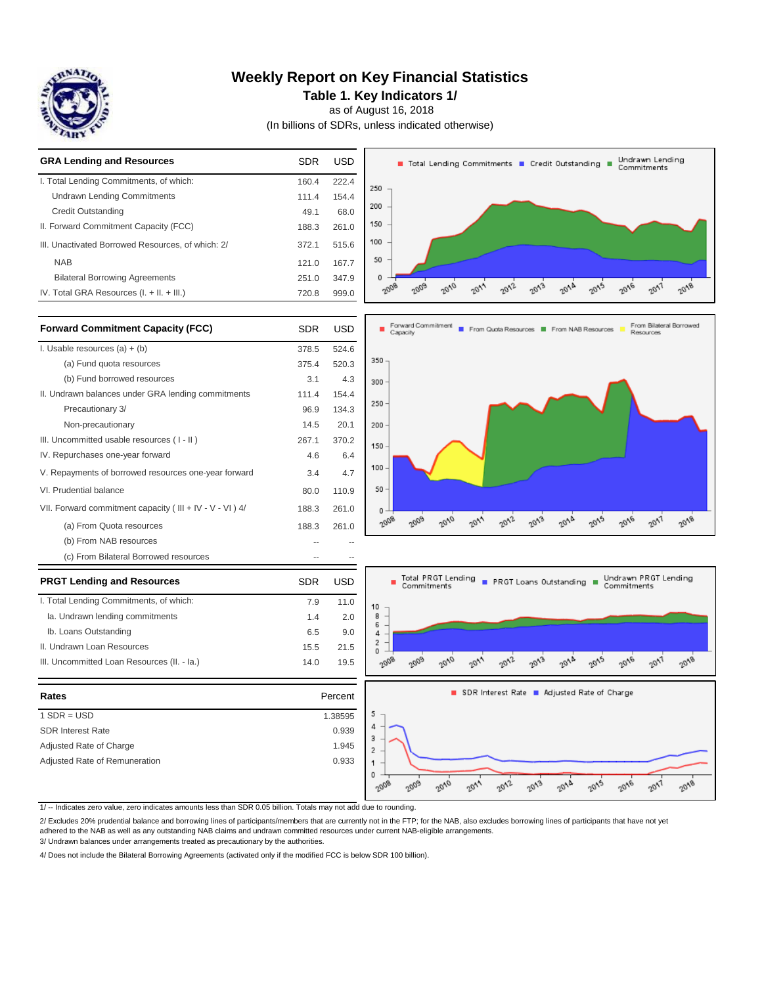

 Ib. Loans Outstanding II. Undrawn Loan Resources

III. Uncommitted Loan Resources (II. - Ia.)

**PRGT Lending and Resources** I. Total Lending Commitments, of which: Ia. Undrawn lending commitments

## **Weekly Report on Key Financial Statistics**

**Table 1. Key Indicators 1/**

as of August 16, 2018

(In billions of SDRs, unless indicated otherwise)

| <b>GRA Lending and Resources</b>                  | <b>SDR</b> | USD   |
|---------------------------------------------------|------------|-------|
| I. Total Lending Commitments, of which:           | 160.4      | 222.4 |
| <b>Undrawn Lending Commitments</b>                | 111.4      | 154.4 |
| Credit Outstanding                                | 49.1       | 68.0  |
| II. Forward Commitment Capacity (FCC)             | 188.3      | 261.0 |
| III. Unactivated Borrowed Resources, of which: 2/ | 372.1      | 515.6 |
| <b>NAB</b>                                        | 121.0      | 167.7 |
| <b>Bilateral Borrowing Agreements</b>             | 251.0      | 347.9 |
| IV. Total GRA Resources $(I. + II. + III.)$       | 720.8      | 999.0 |



| <b>Forward Commitment Capacity (FCC)</b>                 | <b>SDR</b> | USD   |
|----------------------------------------------------------|------------|-------|
| I. Usable resources $(a) + (b)$                          | 378.5      | 524.6 |
| (a) Fund quota resources                                 | 375.4      | 520.3 |
| (b) Fund borrowed resources                              | 3.1        | 4.3   |
| II. Undrawn balances under GRA lending commitments       | 111.4      | 154.4 |
| Precautionary 3/                                         | 96.9       | 134.3 |
| Non-precautionary                                        | 14.5       | 20.1  |
| III. Uncommitted usable resources (I-II)                 | 267.1      | 370.2 |
| IV. Repurchases one-year forward                         | 4.6        | 6.4   |
| V. Repayments of borrowed resources one-year forward     | 3.4        | 4.7   |
| VI. Prudential balance                                   | 80.0       | 110.9 |
| VII. Forward commitment capacity (III + IV - V - VI ) 4/ | 188.3      | 261.0 |
| (a) From Quota resources                                 | 188.3      | 261.0 |
| (b) From NAB resources                                   |            |       |
| (c) From Bilateral Borrowed resources                    |            |       |





| Rates                         | Percent |
|-------------------------------|---------|
| $1$ SDR = USD                 | 1.38595 |
| <b>SDR Interest Rate</b>      | 0.939   |
| Adjusted Rate of Charge       | 1.945   |
| Adjusted Rate of Remuneration | 0.933   |



 $20^{13}$ 

 $2^{O\Lambda_D}$ 

 $20^{15}$ 

 $2\partial\sqrt{\varrho}$ 

 $20^{17}$ 

 $2\sigma_{V\!B}$ 

 $20^{12}$ 

#### 1/ -- Indicates zero value, zero indicates amounts less than SDR 0.05 billion. Totals may not add due to rounding.

2/ Excludes 20% prudential balance and borrowing lines of participants/members that are currently not in the FTP; for the NAB, also excludes borrowing lines of participants that have not yet

 $2008$ 

 $\sqrt{g_{0}}$ 

 $\delta \rho_{\rm V0}$ 

2011

SDR USD 7.9 11.0 1.4 2.0 6.5 9.0 15.5 21.5 14.0 19.5

adhered to the NAB as well as any outstanding NAB claims and undrawn committed resources under current NAB-eligible arrangements.

3/ Undrawn balances under arrangements treated as precautionary by the authorities.

4/ Does not include the Bilateral Borrowing Agreements (activated only if the modified FCC is below SDR 100 billion).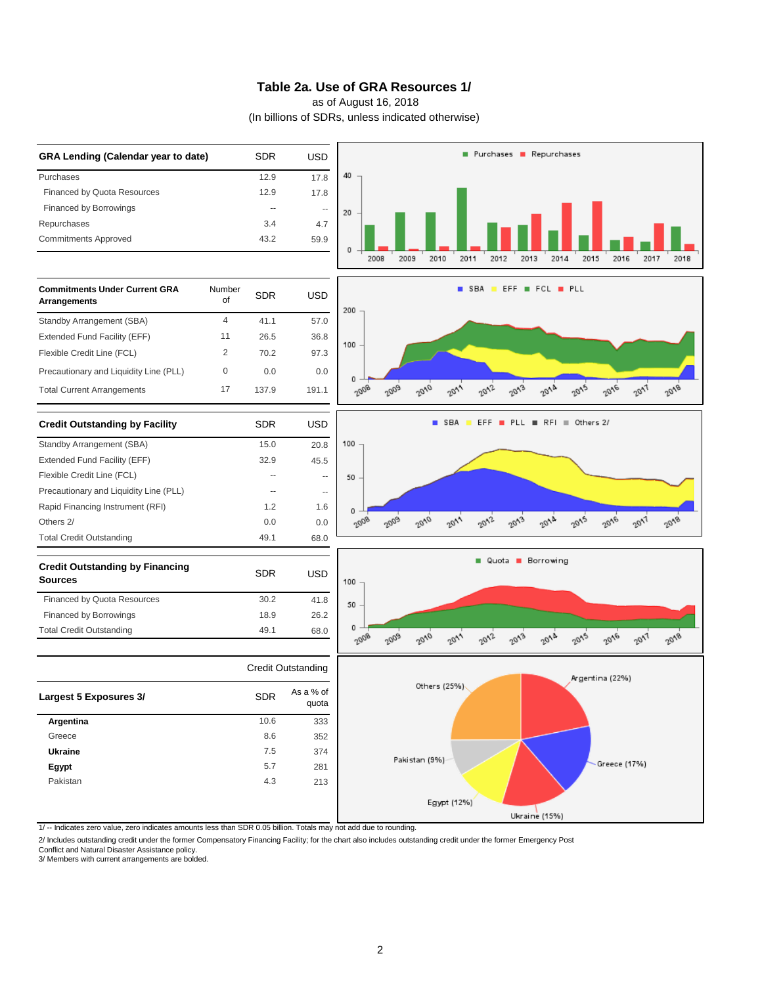### **Table 2a. Use of GRA Resources 1/**

as of August 16, 2018

(In billions of SDRs, unless indicated otherwise)



1/ -- Indicates zero value, zero indicates amounts less than SDR 0.05 billion. Totals may not add due to rounding.

2/ Includes outstanding credit under the former Compensatory Financing Facility; for the chart also includes outstanding credit under the former Emergency Post

Conflict and Natural Disaster Assistance policy.

3/ Members with current arrangements are bolded.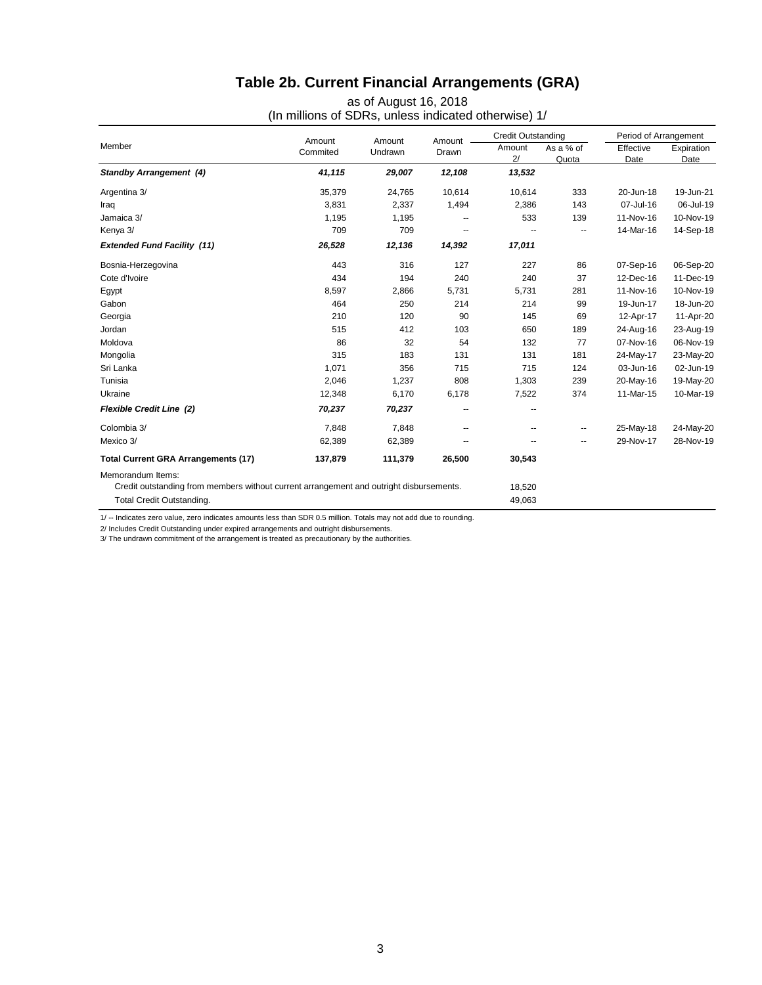# **Table 2b. Current Financial Arrangements (GRA)**

| Member                                                                                  |                    |                   |                 | <b>Credit Outstanding</b> |                    | Period of Arrangement |                    |
|-----------------------------------------------------------------------------------------|--------------------|-------------------|-----------------|---------------------------|--------------------|-----------------------|--------------------|
|                                                                                         | Amount<br>Commited | Amount<br>Undrawn | Amount<br>Drawn | Amount<br>2/              | As a % of<br>Quota | Effective<br>Date     | Expiration<br>Date |
| <b>Standby Arrangement (4)</b>                                                          | 41,115             | 29,007            | 12,108          | 13,532                    |                    |                       |                    |
| Argentina 3/                                                                            | 35,379             | 24,765            | 10,614          | 10,614                    | 333                | 20-Jun-18             | 19-Jun-21          |
| Iraq                                                                                    | 3,831              | 2,337             | 1,494           | 2,386                     | 143                | 07-Jul-16             | 06-Jul-19          |
| Jamaica 3/                                                                              | 1,195              | 1,195             |                 | 533                       | 139                | 11-Nov-16             | 10-Nov-19          |
| Kenya 3/                                                                                | 709                | 709               |                 |                           | --                 | 14-Mar-16             | 14-Sep-18          |
| <b>Extended Fund Facility (11)</b>                                                      | 26,528             | 12,136            | 14,392          | 17,011                    |                    |                       |                    |
| Bosnia-Herzegovina                                                                      | 443                | 316               | 127             | 227                       | 86                 | 07-Sep-16             | 06-Sep-20          |
| Cote d'Ivoire                                                                           | 434                | 194               | 240             | 240                       | 37                 | 12-Dec-16             | 11-Dec-19          |
| Egypt                                                                                   | 8,597              | 2,866             | 5,731           | 5,731                     | 281                | 11-Nov-16             | 10-Nov-19          |
| Gabon                                                                                   | 464                | 250               | 214             | 214                       | 99                 | 19-Jun-17             | 18-Jun-20          |
| Georgia                                                                                 | 210                | 120               | 90              | 145                       | 69                 | 12-Apr-17             | 11-Apr-20          |
| Jordan                                                                                  | 515                | 412               | 103             | 650                       | 189                | 24-Aug-16             | 23-Aug-19          |
| Moldova                                                                                 | 86                 | 32                | 54              | 132                       | 77                 | 07-Nov-16             | 06-Nov-19          |
| Mongolia                                                                                | 315                | 183               | 131             | 131                       | 181                | 24-May-17             | 23-May-20          |
| Sri Lanka                                                                               | 1,071              | 356               | 715             | 715                       | 124                | 03-Jun-16             | 02-Jun-19          |
| Tunisia                                                                                 | 2,046              | 1,237             | 808             | 1,303                     | 239                | 20-May-16             | 19-May-20          |
| Ukraine                                                                                 | 12,348             | 6,170             | 6,178           | 7,522                     | 374                | 11-Mar-15             | 10-Mar-19          |
| <b>Flexible Credit Line (2)</b>                                                         | 70,237             | 70,237            | --              |                           |                    |                       |                    |
| Colombia 3/                                                                             | 7,848              | 7,848             | --              |                           | --                 | 25-May-18             | 24-May-20          |
| Mexico 3/                                                                               | 62,389             | 62,389            |                 |                           | --                 | 29-Nov-17             | 28-Nov-19          |
| <b>Total Current GRA Arrangements (17)</b>                                              | 137,879            | 111,379           | 26,500          | 30,543                    |                    |                       |                    |
| Memorandum Items:                                                                       |                    |                   |                 |                           |                    |                       |                    |
| Credit outstanding from members without current arrangement and outright disbursements. |                    |                   |                 | 18,520                    |                    |                       |                    |
| Total Credit Outstanding.                                                               |                    |                   |                 | 49,063                    |                    |                       |                    |

as of August 16, 2018 (In millions of SDRs, unless indicated otherwise) 1/

1/ -- Indicates zero value, zero indicates amounts less than SDR 0.5 million. Totals may not add due to rounding.

2/ Includes Credit Outstanding under expired arrangements and outright disbursements.

3/ The undrawn commitment of the arrangement is treated as precautionary by the authorities.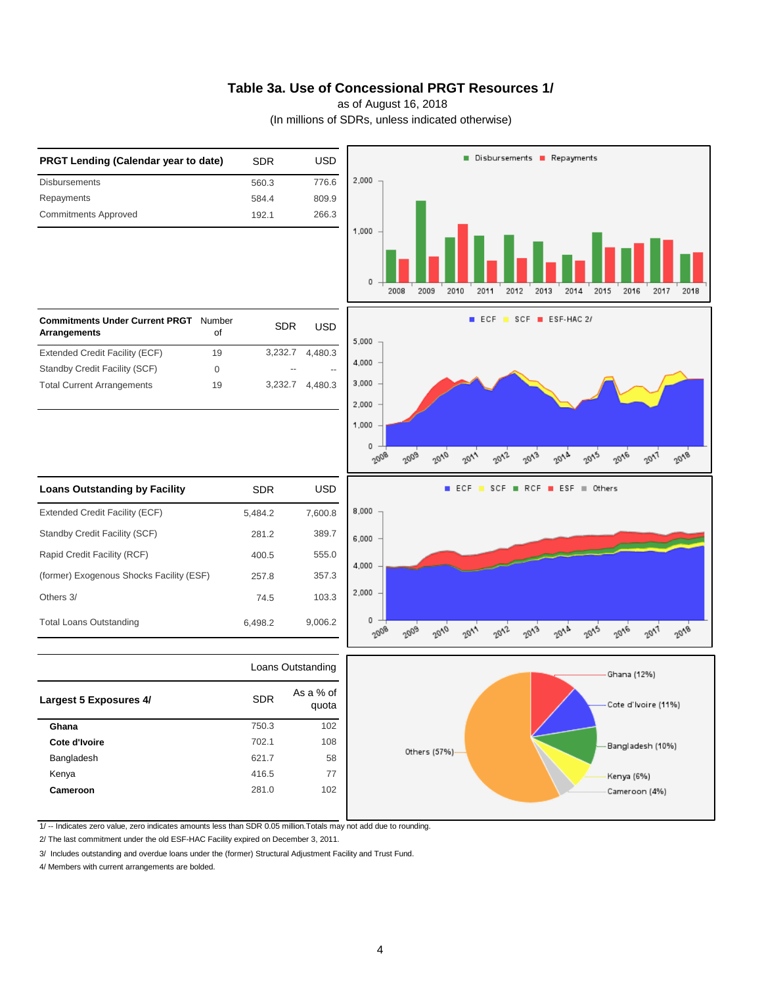### **Table 3a. Use of Concessional PRGT Resources 1/**

as of August 16, 2018

(In millions of SDRs, unless indicated otherwise)



1/ -- Indicates zero value, zero indicates amounts less than SDR 0.05 million.Totals may not add due to rounding.

2/ The last commitment under the old ESF-HAC Facility expired on December 3, 2011.

3/ Includes outstanding and overdue loans under the (former) Structural Adjustment Facility and Trust Fund.

4/ Members with current arrangements are bolded.